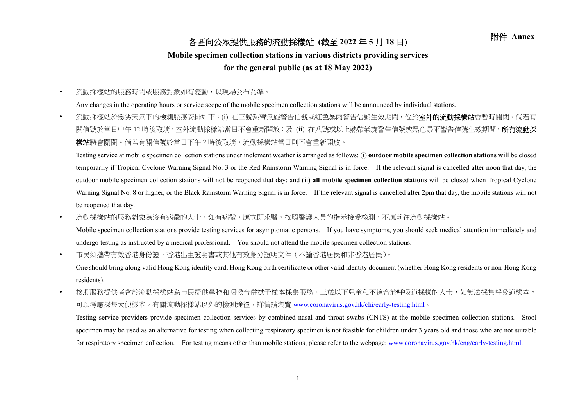## 附件 **Annex** 各區向公眾提供服務的流動採樣站 **(**截至 **<sup>2022</sup>** <sup>年</sup> **<sup>5</sup>** <sup>月</sup> **<sup>18</sup>** <sup>日</sup>**)**

## **Mobile specimen collection stations in various districts providing services**

## **for the general public (as at 18 May 2022)**

 $\bullet$ 流動採樣站的服務時間或服務對象如有變動,以現場公布為準。

Any changes in the operating hours or service scope of the mobile specimen collection stations will be announced by individual stations.

 $\bullet$ 流動採樣站於惡劣天氣下的檢測服務安排如下:(i) 在三號熱帶氣旋警告信號或紅色暴雨警告信號生效期間,位於**室外的流動採樣站**會暫時關閉。倘若有 關信號於當日中午 12 時後取消,室外流動採樣站當日不會重新開放;及 (ii) 在八號或以上熱帶氣旋警告信號或黑色暴雨警告信號生效期間,**所有流動採 樣站**將會關閉。倘若有關信號於當日下午2時後取消,流動採樣站當日則不會重新開放。

Testing service at mobile specimen collection stations under inclement weather is arranged as follows: (i) **outdoor mobile specimen collection stations** will be closed temporarily if Tropical Cyclone Warning Signal No. 3 or the Red Rainstorm Warning Signal is in force. If the relevant signal is cancelled after noon that day, the outdoor mobile specimen collection stations will not be reopened that day; and (ii) **all mobile specimen collection stations** will be closed when Tropical Cyclone Warning Signal No. 8 or higher, or the Black Rainstorm Warning Signal is in force. If the relevant signal is cancelled after 2pm that day, the mobile stations will not be reopened that day.

 $\bullet$ 流動採樣站的服務對象為沒有病徵的人主。如有病徵,應立即求醫,按照醫護人員的指示接受檢測,不應前往流動採樣站。

Mobile specimen collection stations provide testing services for asymptomatic persons. If you have symptoms, you should seek medical attention immediately and undergo testing as instructed by a medical professional. You should not attend the mobile specimen collection stations.

 $\bullet$ 市民須攜帶有效香港身份證、香港出生證明書或其他有效身分證明文件(不論香港居民和非香港居民)。

One should bring along valid Hong Kong identity card, Hong Kong birth certificate or other valid identity document (whether Hong Kong residents or non-Hong Kong residents).

 $\bullet$ 檢測服務提供者會於流動採樣站為市民提供鼻腔和咽喉合併拭子樣本採集服務。三歲以下兒童和不適合於呼吸道採樣的人士,如無法採集呼吸道樣本, 可以考慮採集大便樣本。有關流動採樣站以外的檢測途徑,詳情請瀏覽 www.coronavirus.gov.hk/chi/early-testing.html。

Testing service providers provide specimen collection services by combined nasal and throat swabs (CNTS) at the mobile specimen collection stations. Stool specimen may be used as an alternative for testing when collecting respiratory specimen is not feasible for children under 3 years old and those who are not suitable for respiratory specimen collection. For testing means other than mobile stations, please refer to the webpage: www.coronavirus.gov.hk/eng/early-testing.html.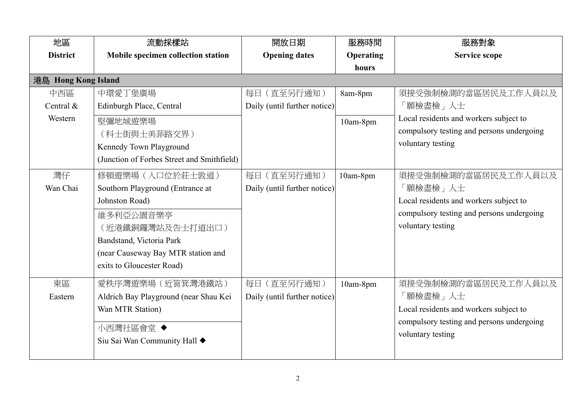| 地區                          | 流動採樣站                                                                                                                                                                                                  | 開放日期                                        | 服務時間                | 服務對象                                                                                                                                        |  |  |
|-----------------------------|--------------------------------------------------------------------------------------------------------------------------------------------------------------------------------------------------------|---------------------------------------------|---------------------|---------------------------------------------------------------------------------------------------------------------------------------------|--|--|
| <b>District</b>             | Mobile specimen collection station                                                                                                                                                                     | <b>Opening dates</b>                        | <b>Operating</b>    | <b>Service scope</b>                                                                                                                        |  |  |
|                             |                                                                                                                                                                                                        |                                             | hours               |                                                                                                                                             |  |  |
| 港島 Hong Kong Island         |                                                                                                                                                                                                        |                                             |                     |                                                                                                                                             |  |  |
| 中西區<br>Central &<br>Western | 中環愛丁堡廣場<br>Edinburgh Place, Central<br>堅彌地城遊樂場<br>(科士街與士美菲路交界)<br>Kennedy Town Playground<br>(Junction of Forbes Street and Smithfield)                                                                | 每日 (直至另行通知)<br>Daily (until further notice) | 8am-8pm<br>10am-8pm | 須接受強制檢測的當區居民及工作人員以及<br>「願檢盡檢」人士<br>Local residents and workers subject to<br>compulsory testing and persons undergoing<br>voluntary testing |  |  |
| 灣仔<br>Wan Chai              | 修頓遊樂場 (入口位於莊士敦道)<br>Southorn Playground (Entrance at<br>Johnston Road)<br>維多利亞公園音樂亭<br>(近港鐵銅鑼灣站及告士打道出口)<br>Bandstand, Victoria Park<br>(near Causeway Bay MTR station and<br>exits to Gloucester Road) | 每日 (直至另行通知)<br>Daily (until further notice) | 10am-8pm            | 須接受強制檢測的當區居民及工作人員以及<br>「願檢盡檢」人士<br>Local residents and workers subject to<br>compulsory testing and persons undergoing<br>voluntary testing |  |  |
| 東區<br>Eastern               | 愛秩序灣遊樂場 (近筲箕灣港鐵站)<br>Aldrich Bay Playground (near Shau Kei<br>Wan MTR Station)<br>小西灣社區會堂 ◆<br>Siu Sai Wan Community Hall ◆                                                                            | 每日 (直至另行通知)<br>Daily (until further notice) | 10am-8pm            | 須接受強制檢測的當區居民及工作人員以及<br>「願檢盡檢」人士<br>Local residents and workers subject to<br>compulsory testing and persons undergoing<br>voluntary testing |  |  |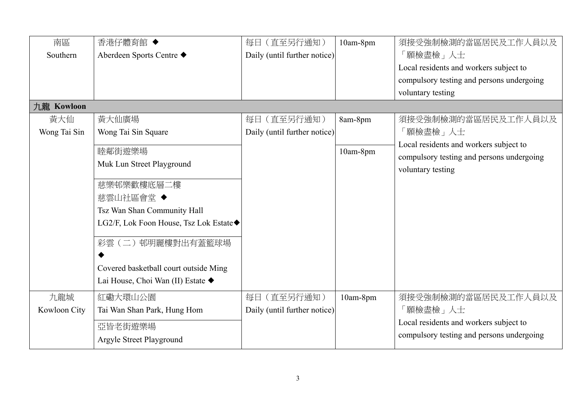| 南區           | 香港仔體育館 ◆                               | 每日 (直至另行通知)                  | 10am-8pm | 須接受強制檢測的當區居民及工作人員以及                       |
|--------------|----------------------------------------|------------------------------|----------|-------------------------------------------|
| Southern     | Aberdeen Sports Centre ◆               | Daily (until further notice) |          | 「願檢盡檢」人士                                  |
|              |                                        |                              |          | Local residents and workers subject to    |
|              |                                        |                              |          | compulsory testing and persons undergoing |
|              |                                        |                              |          | voluntary testing                         |
| 九龍 Kowloon   |                                        |                              |          |                                           |
| 黃大仙          | 黃大仙廣場                                  | (直至另行通知)<br>每日               | 8am-8pm  | 須接受強制檢測的當區居民及工作人員以及                       |
| Wong Tai Sin | Wong Tai Sin Square                    | Daily (until further notice) |          | 「願檢盡檢」人士                                  |
|              | 睦鄰街遊樂場                                 |                              | 10am-8pm | Local residents and workers subject to    |
|              | Muk Lun Street Playground              |                              |          | compulsory testing and persons undergoing |
|              |                                        |                              |          | voluntary testing                         |
|              | 慈樂邨樂歡樓底層二樓                             |                              |          |                                           |
|              | 慈雲山社區會堂◆                               |                              |          |                                           |
|              | Tsz Wan Shan Community Hall            |                              |          |                                           |
|              | LG2/F, Lok Foon House, Tsz Lok Estate◆ |                              |          |                                           |
|              | 彩雲(二)邨明麗樓對出有蓋籃球場                       |                              |          |                                           |
|              |                                        |                              |          |                                           |
|              | Covered basketball court outside Ming  |                              |          |                                           |
|              | Lai House, Choi Wan (II) Estate ◆      |                              |          |                                           |
| 九龍城          | 紅磡大環山公園                                | 每日 (直至另行通知)                  | 10am-8pm | 須接受強制檢測的當區居民及工作人員以及                       |
| Kowloon City | Tai Wan Shan Park, Hung Hom            | Daily (until further notice) |          | 「願檢盡檢」人士                                  |
|              | 亞皆老街遊樂場                                |                              |          | Local residents and workers subject to    |
|              | Argyle Street Playground               |                              |          | compulsory testing and persons undergoing |
|              |                                        |                              |          |                                           |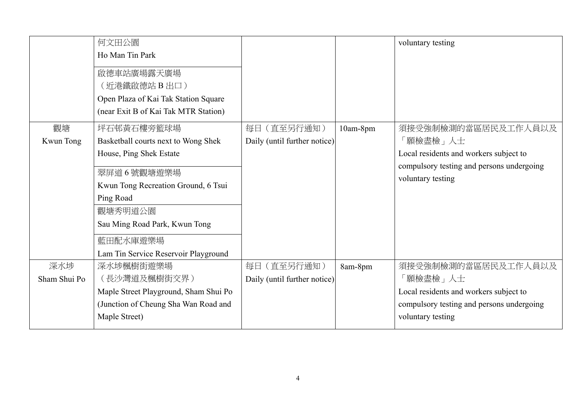|              | 何文田公園<br>Ho Man Tin Park<br>啟德車站廣場露天廣場<br>(近港鐵啟德站 B 出口)<br>Open Plaza of Kai Tak Station Square<br>(near Exit B of Kai Tak MTR Station) |                              |          | voluntary testing                                                                   |
|--------------|-----------------------------------------------------------------------------------------------------------------------------------------|------------------------------|----------|-------------------------------------------------------------------------------------|
| 觀塘           | 坪石邨黃石樓旁籃球場                                                                                                                              | 每日 (直至另行通知)                  | 10am-8pm | 須接受強制檢測的當區居民及工作人員以及                                                                 |
| Kwun Tong    | Basketball courts next to Wong Shek                                                                                                     | Daily (until further notice) |          | 願檢盡檢」人士                                                                             |
|              | House, Ping Shek Estate                                                                                                                 |                              |          | Local residents and workers subject to<br>compulsory testing and persons undergoing |
|              | 翠屏道6號觀塘遊樂場                                                                                                                              |                              |          | voluntary testing                                                                   |
|              | Kwun Tong Recreation Ground, 6 Tsui                                                                                                     |                              |          |                                                                                     |
|              | Ping Road                                                                                                                               |                              |          |                                                                                     |
|              | 觀塘秀明道公園                                                                                                                                 |                              |          |                                                                                     |
|              | Sau Ming Road Park, Kwun Tong                                                                                                           |                              |          |                                                                                     |
|              | 藍田配水庫遊樂場                                                                                                                                |                              |          |                                                                                     |
|              | Lam Tin Service Reservoir Playground                                                                                                    |                              |          |                                                                                     |
| 深水埗          | 深水埗楓樹街遊樂場                                                                                                                               | 每日 (直至另行通知)                  | 8am-8pm  | 須接受強制檢測的當區居民及工作人員以及                                                                 |
| Sham Shui Po | (長沙灣道及楓樹街交界)                                                                                                                            | Daily (until further notice) |          | 願檢盡檢」人士                                                                             |
|              | Maple Street Playground, Sham Shui Po                                                                                                   |                              |          | Local residents and workers subject to                                              |
|              | (Junction of Cheung Sha Wan Road and                                                                                                    |                              |          | compulsory testing and persons undergoing                                           |
|              | Maple Street)                                                                                                                           |                              |          | voluntary testing                                                                   |
|              |                                                                                                                                         |                              |          |                                                                                     |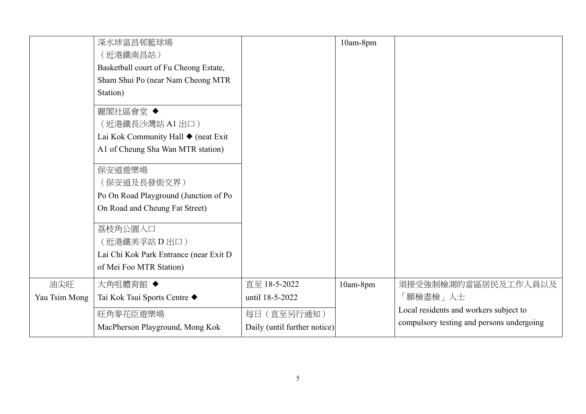|                      | 深水埗富昌邨籃球場<br>(近港鐵南昌站)<br>Basketball court of Fu Cheong Estate,<br>Sham Shui Po (near Nam Cheong MTR<br>Station)<br>麗閣社區會堂 ◆<br>(近港鐵長沙灣站 A1 出口)<br>Lai Kok Community Hall ♦ (neat Exit<br>A1 of Cheung Sha Wan MTR station)<br>保安道遊樂場<br>(保安道及長發街交界)<br>Po On Road Playground (Junction of Po<br>On Road and Cheung Fat Street)<br>荔枝角公園入口<br>(近港鐵美孚站 D 出口)<br>Lai Chi Kok Park Entrance (near Exit D<br>of Mei Foo MTR Station) |                                                                                | 10am-8pm |                                                                                                                        |
|----------------------|---------------------------------------------------------------------------------------------------------------------------------------------------------------------------------------------------------------------------------------------------------------------------------------------------------------------------------------------------------------------------------------------------------------------------------|--------------------------------------------------------------------------------|----------|------------------------------------------------------------------------------------------------------------------------|
| 油尖旺<br>Yau Tsim Mong | 大角咀體育館 ◆<br>Tai Kok Tsui Sports Centre ◆<br>旺角麥花臣遊樂場<br>MacPherson Playground, Mong Kok                                                                                                                                                                                                                                                                                                                                         | 直至 18-5-2022<br>until 18-5-2022<br>每日 (直至另行通知)<br>Daily (until further notice) | 10am-8pm | 須接受強制檢測的當區居民及工作人員以及<br>「願檢盡檢」人士<br>Local residents and workers subject to<br>compulsory testing and persons undergoing |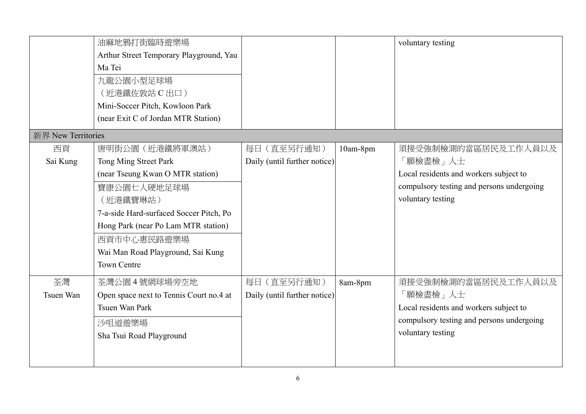|                    | 油麻地鴉打街臨時遊樂場                             |                              |          | voluntary testing                         |
|--------------------|-----------------------------------------|------------------------------|----------|-------------------------------------------|
|                    | Arthur Street Temporary Playground, Yau |                              |          |                                           |
|                    | Ma Tei                                  |                              |          |                                           |
|                    | 九龍公園小型足球場                               |                              |          |                                           |
|                    | (近港鐵佐敦站 C 出口)                           |                              |          |                                           |
|                    | Mini-Soccer Pitch, Kowloon Park         |                              |          |                                           |
|                    | (near Exit C of Jordan MTR Station)     |                              |          |                                           |
| 新界 New Territories |                                         |                              |          |                                           |
| 西貢                 | 唐明街公園 (近港鐵將軍澳站)                         | 每日 (直至另行通知)                  | 10am-8pm | 須接受強制檢測的當區居民及工作人員以及                       |
| Sai Kung           | Tong Ming Street Park                   | Daily (until further notice) |          | 「願檢盡檢」人士                                  |
|                    | (near Tseung Kwan O MTR station)        |                              |          | Local residents and workers subject to    |
|                    | 寶康公園七人硬地足球場                             |                              |          | compulsory testing and persons undergoing |
|                    | (近港鐵寶琳站)                                |                              |          | voluntary testing                         |
|                    | 7-a-side Hard-surfaced Soccer Pitch, Po |                              |          |                                           |
|                    | Hong Park (near Po Lam MTR station)     |                              |          |                                           |
|                    | 西貢市中心惠民路遊樂場                             |                              |          |                                           |
|                    | Wai Man Road Playground, Sai Kung       |                              |          |                                           |
|                    | <b>Town Centre</b>                      |                              |          |                                           |
| 荃灣                 | 荃灣公園 4號網球場旁空地                           | 每日 (直至另行通知)                  | 8am-8pm  | 須接受強制檢測的當區居民及工作人員以及                       |
| Tsuen Wan          | Open space next to Tennis Court no.4 at | Daily (until further notice) |          | 「願檢盡檢」人士                                  |
|                    | Tsuen Wan Park                          |                              |          | Local residents and workers subject to    |
|                    | 沙咀道遊樂場                                  |                              |          | compulsory testing and persons undergoing |
|                    | Sha Tsui Road Playground                |                              |          | voluntary testing                         |
|                    |                                         |                              |          |                                           |
|                    |                                         |                              |          |                                           |
|                    |                                         |                              |          |                                           |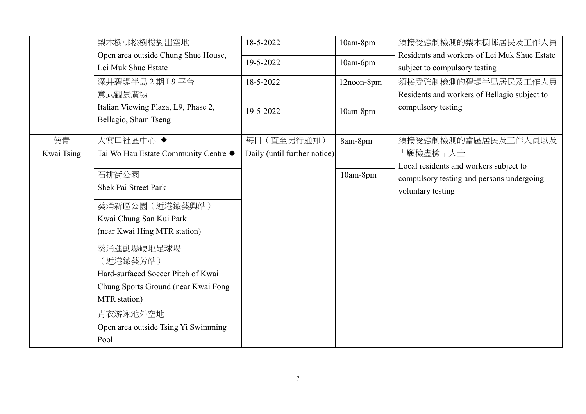|            | 梨木樹邨松樹樓對出空地                          | 18-5-2022                    | 10am-8pm   | 須接受強制檢測的梨木樹邨居民及工作人員                          |
|------------|--------------------------------------|------------------------------|------------|----------------------------------------------|
|            | Open area outside Chung Shue House,  | 19-5-2022                    |            | Residents and workers of Lei Muk Shue Estate |
|            | Lei Muk Shue Estate                  |                              | 10am-6pm   | subject to compulsory testing                |
|            | 深井碧堤半島 2 期 L9 平台                     | 18-5-2022                    | 12noon-8pm | 須接受強制檢測的碧堤半島居民及工作人員                          |
|            | 意式觀景廣場                               |                              |            | Residents and workers of Bellagio subject to |
|            | Italian Viewing Plaza, L9, Phase 2,  | 19-5-2022                    | 10am-8pm   | compulsory testing                           |
|            | Bellagio, Sham Tseng                 |                              |            |                                              |
| 葵青         | 大窩口社區中心◆                             | 每日 (直至另行通知)                  | 8am-8pm    | 須接受強制檢測的當區居民及工作人員以及                          |
| Kwai Tsing | Tai Wo Hau Estate Community Centre ◆ | Daily (until further notice) |            | 「願檢盡檢」人士                                     |
|            |                                      |                              |            | Local residents and workers subject to       |
|            | 石排街公園                                |                              | 10am-8pm   | compulsory testing and persons undergoing    |
|            | <b>Shek Pai Street Park</b>          |                              |            | voluntary testing                            |
|            | 葵涌新區公園 (近港鐵葵興站)                      |                              |            |                                              |
|            | Kwai Chung San Kui Park              |                              |            |                                              |
|            | (near Kwai Hing MTR station)         |                              |            |                                              |
|            | 葵涌運動場硬地足球場                           |                              |            |                                              |
|            | (近港鐵葵芳站)                             |                              |            |                                              |
|            | Hard-surfaced Soccer Pitch of Kwai   |                              |            |                                              |
|            | Chung Sports Ground (near Kwai Fong  |                              |            |                                              |
|            | MTR station)                         |                              |            |                                              |
|            | 青衣游泳池外空地                             |                              |            |                                              |
|            | Open area outside Tsing Yi Swimming  |                              |            |                                              |
|            | Pool                                 |                              |            |                                              |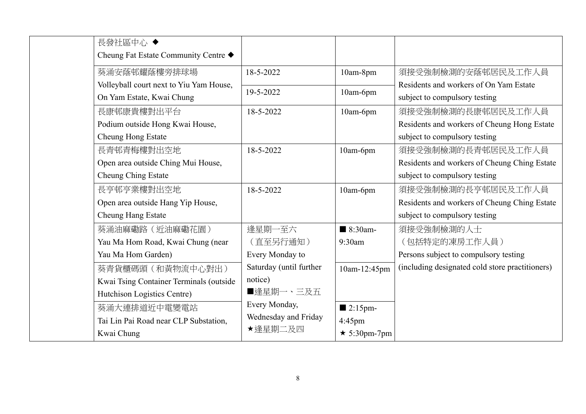| 長發社區中心 ◆                                |                         |                        |                                                 |
|-----------------------------------------|-------------------------|------------------------|-------------------------------------------------|
| Cheung Fat Estate Community Centre ◆    |                         |                        |                                                 |
| 葵涌安蔭邨耀蔭樓旁排球場                            | 18-5-2022               | 10am-8pm               | 須接受強制檢測的安蔭邨居民及工作人員                              |
| Volleyball court next to Yiu Yam House, | 19-5-2022               |                        | Residents and workers of On Yam Estate          |
| On Yam Estate, Kwai Chung               |                         | 10am-6pm               | subject to compulsory testing                   |
| 長康邨康貴樓對出平台                              | 18-5-2022               | 10am-6pm               | 須接受強制檢測的長康邨居民及工作人員                              |
| Podium outside Hong Kwai House,         |                         |                        | Residents and workers of Cheung Hong Estate     |
| Cheung Hong Estate                      |                         |                        | subject to compulsory testing                   |
| 長青邨青梅樓對出空地                              | 18-5-2022               | 10am-6pm               | 須接受強制檢測的長青邨居民及工作人員                              |
| Open area outside Ching Mui House,      |                         |                        | Residents and workers of Cheung Ching Estate    |
| Cheung Ching Estate                     |                         |                        | subject to compulsory testing                   |
| 長亨邨亨業樓對出空地                              | 18-5-2022               | 10am-6pm               | 須接受強制檢測的長亨邨居民及工作人員                              |
| Open area outside Hang Yip House,       |                         |                        | Residents and workers of Cheung Ching Estate    |
| Cheung Hang Estate                      |                         |                        | subject to compulsory testing                   |
| 葵涌油麻磡路 (近油麻磡花園)                         | 逢星期一至六                  | $\blacksquare$ 8:30am- | 須接受強制檢測的人士                                      |
| Yau Ma Hom Road, Kwai Chung (near       | (直至另行通知)                | 9:30am                 | (包括特定的凍房工作人員)                                   |
| Yau Ma Hom Garden)                      | Every Monday to         |                        | Persons subject to compulsory testing           |
| 葵青貨櫃碼頭 (和黃物流中心對出)                       | Saturday (until further | 10am-12:45pm           | (including designated cold store practitioners) |
| Kwai Tsing Container Terminals (outside | notice)                 |                        |                                                 |
| Hutchison Logistics Centre)             | ■逢星期一、三及五               |                        |                                                 |
| 葵涌大連排道近中電變電站                            | Every Monday,           | $\blacksquare$ 2:15pm- |                                                 |
| Tai Lin Pai Road near CLP Substation,   | Wednesday and Friday    | $4:45$ pm              |                                                 |
| Kwai Chung                              | ★逢星期二及四                 | $\star$ 5:30pm-7pm     |                                                 |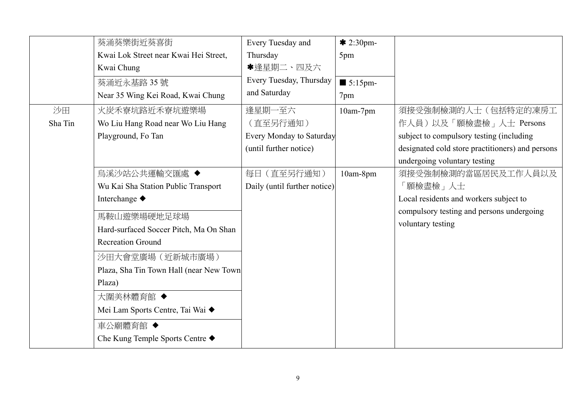|         | 葵涌葵樂街近葵喜街                               | Every Tuesday and               | $* 2:30$ pm-           |                                                  |
|---------|-----------------------------------------|---------------------------------|------------------------|--------------------------------------------------|
|         | Kwai Lok Street near Kwai Hei Street,   | Thursday                        | 5pm                    |                                                  |
|         | Kwai Chung                              | *逢星期二、四及六                       |                        |                                                  |
|         | 葵涌近永基路35號                               | Every Tuesday, Thursday         | $\blacksquare$ 5:15pm- |                                                  |
|         | Near 35 Wing Kei Road, Kwai Chung       | and Saturday                    | 7pm                    |                                                  |
| 沙田      | 火炭禾寮坑路近禾寮坑遊樂場                           | 逢星期一至六                          | $10am-7pm$             | 須接受強制檢測的人士(包括特定的凍房工                              |
| Sha Tin | Wo Liu Hang Road near Wo Liu Hang       | (直至另行通知)                        |                        | 作人員)以及「願檢盡檢」人士 Persons                           |
|         | Playground, Fo Tan                      | <b>Every Monday to Saturday</b> |                        | subject to compulsory testing (including         |
|         |                                         | (until further notice)          |                        | designated cold store practitioners) and persons |
|         |                                         |                                 |                        | undergoing voluntary testing                     |
|         | 烏溪沙站公共運輸交匯處 ◆                           | 每日 (直至另行通知)                     | 10am-8pm               | 須接受強制檢測的當區居民及工作人員以及                              |
|         | Wu Kai Sha Station Public Transport     | Daily (until further notice)    |                        | 「願檢盡檢」人士                                         |
|         | Interchange ◆                           |                                 |                        | Local residents and workers subject to           |
|         | 馬鞍山遊樂場硬地足球場                             |                                 |                        | compulsory testing and persons undergoing        |
|         | Hard-surfaced Soccer Pitch, Ma On Shan  |                                 |                        | voluntary testing                                |
|         | <b>Recreation Ground</b>                |                                 |                        |                                                  |
|         | 沙田大會堂廣場 (近新城市廣場)                        |                                 |                        |                                                  |
|         | Plaza, Sha Tin Town Hall (near New Town |                                 |                        |                                                  |
|         | Plaza)                                  |                                 |                        |                                                  |
|         | 大圍美林體育館 ◆                               |                                 |                        |                                                  |
|         | Mei Lam Sports Centre, Tai Wai ◆        |                                 |                        |                                                  |
|         | 車公廟體育館 ◆                                |                                 |                        |                                                  |
|         | Che Kung Temple Sports Centre ◆         |                                 |                        |                                                  |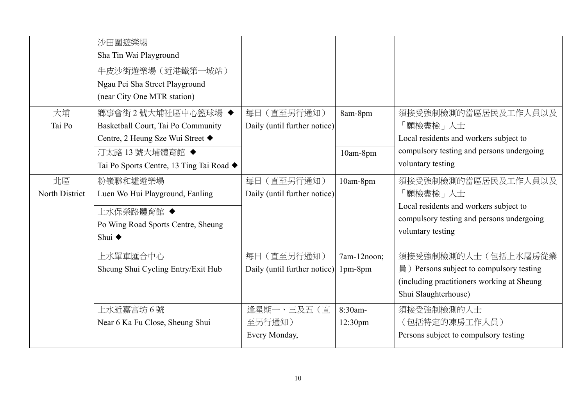|                | 沙田圍遊樂場<br>Sha Tin Wai Playground<br>牛皮沙街遊樂場 (近港鐵第一城站)<br>Ngau Pei Sha Street Playground<br>(near City One MTR station) |                              |                     |                                            |
|----------------|------------------------------------------------------------------------------------------------------------------------|------------------------------|---------------------|--------------------------------------------|
| 大埔             | 鄉事會街2號大埔社區中心籃球場◆                                                                                                       | 每日 (直至另行通知)                  | 8am-8pm             | 須接受強制檢測的當區居民及工作人員以及                        |
| Tai Po         | Basketball Court, Tai Po Community                                                                                     | Daily (until further notice) |                     | 「願檢盡檢」人士                                   |
|                | Centre, 2 Heung Sze Wui Street ◆                                                                                       |                              |                     | Local residents and workers subject to     |
|                | 汀太路 13號大埔體育館◆                                                                                                          |                              | 10am-8pm            | compulsory testing and persons undergoing  |
|                | Tai Po Sports Centre, 13 Ting Tai Road ◆                                                                               |                              |                     | voluntary testing                          |
| 北區             | 粉嶺聯和墟遊樂場                                                                                                               | 每日 (直至另行通知)                  | 10am-8pm            | 須接受強制檢測的當區居民及工作人員以及                        |
| North District | Luen Wo Hui Playground, Fanling                                                                                        | Daily (until further notice) |                     | 「願檢盡檢」人士                                   |
|                | 上水保榮路體育館 ◆                                                                                                             |                              |                     | Local residents and workers subject to     |
|                | Po Wing Road Sports Centre, Sheung                                                                                     |                              |                     | compulsory testing and persons undergoing  |
|                | Shui $\triangle$                                                                                                       |                              |                     | voluntary testing                          |
|                |                                                                                                                        |                              |                     |                                            |
|                | 上水單車匯合中心                                                                                                               | 每日 (直至另行通知)                  | 7am-12noon;         | 須接受強制檢測的人士(包括上水屠房從業                        |
|                | Sheung Shui Cycling Entry/Exit Hub                                                                                     | Daily (until further notice) | $1pm-8pm$           | 員) Persons subject to compulsory testing   |
|                |                                                                                                                        |                              |                     | (including practitioners working at Sheung |
|                |                                                                                                                        |                              |                     | Shui Slaughterhouse)                       |
|                | 上水近嘉富坊 6 號                                                                                                             | 逢星期一、三及五 (直                  | 8:30am-             | 須接受強制檢測的人士                                 |
|                | Near 6 Ka Fu Close, Sheung Shui                                                                                        | 至另行通知)                       | 12:30 <sub>pm</sub> | (包括特定的凍房工作人員)                              |
|                |                                                                                                                        | Every Monday,                |                     | Persons subject to compulsory testing      |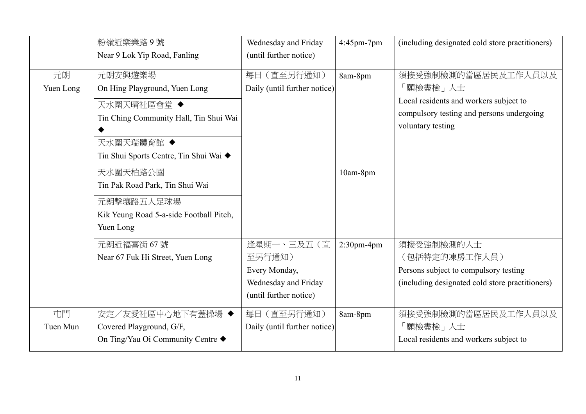|                 | 粉嶺近樂業路9號                                                                                          | Wednesday and Friday                                                                    | 4:45pm-7pm    | (including designated cold store practitioners)                                                                                             |
|-----------------|---------------------------------------------------------------------------------------------------|-----------------------------------------------------------------------------------------|---------------|---------------------------------------------------------------------------------------------------------------------------------------------|
|                 | Near 9 Lok Yip Road, Fanling                                                                      | (until further notice)                                                                  |               |                                                                                                                                             |
| 元朗<br>Yuen Long | 元朗安興遊樂場<br>On Hing Playground, Yuen Long<br>天水圍天晴社區會堂 ◆<br>Tin Ching Community Hall, Tin Shui Wai | 每日 (直至另行通知)<br>Daily (until further notice)                                             | 8am-8pm       | 須接受強制檢測的當區居民及工作人員以及<br>「願檢盡檢」人士<br>Local residents and workers subject to<br>compulsory testing and persons undergoing<br>voluntary testing |
|                 | 天水圍天瑞體育館 ◆<br>Tin Shui Sports Centre, Tin Shui Wai ◆                                              |                                                                                         |               |                                                                                                                                             |
|                 | 天水圍天柏路公園<br>Tin Pak Road Park, Tin Shui Wai                                                       |                                                                                         | 10am-8pm      |                                                                                                                                             |
|                 | 元朗擊壤路五人足球場<br>Kik Yeung Road 5-a-side Football Pitch,<br>Yuen Long                                |                                                                                         |               |                                                                                                                                             |
|                 | 元朗近福喜街 67號<br>Near 67 Fuk Hi Street, Yuen Long                                                    | 逢星期一、三及五(直<br>至另行通知)<br>Every Monday,<br>Wednesday and Friday<br>(until further notice) | $2:30$ pm-4pm | 須接受強制檢測的人士<br>(包括特定的凍房工作人員)<br>Persons subject to compulsory testing<br>(including designated cold store practitioners)                     |
| 屯門<br>Tuen Mun  | 安定/友愛社區中心地下有蓋操場 ◆<br>Covered Playground, G/F,<br>On Ting/Yau Oi Community Centre ◆                | 每日 (直至另行通知)<br>Daily (until further notice)                                             | 8am-8pm       | 須接受強制檢測的當區居民及工作人員以及<br>「願檢盡檢」人士<br>Local residents and workers subject to                                                                   |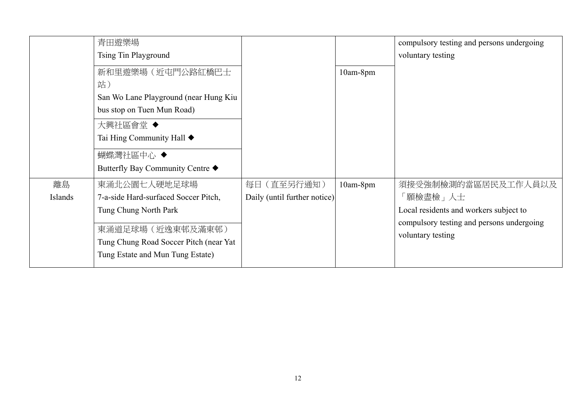|               | 青田遊樂場<br><b>Tsing Tin Playground</b>                                                                                                                                                   |                                             |          | compulsory testing and persons undergoing<br>voluntary testing                                                                              |
|---------------|----------------------------------------------------------------------------------------------------------------------------------------------------------------------------------------|---------------------------------------------|----------|---------------------------------------------------------------------------------------------------------------------------------------------|
|               | 新和里遊樂場(近屯門公路紅橋巴士<br>站)<br>San Wo Lane Playground (near Hung Kiu<br>bus stop on Tuen Mun Road)<br>大興社區會堂◆<br>Tai Hing Community Hall ♦<br>蝴蝶灣社區中心 ◆<br>Butterfly Bay Community Centre ♦ |                                             | 10am-8pm |                                                                                                                                             |
| 離島<br>Islands | 東涌北公園七人硬地足球場<br>7-a-side Hard-surfaced Soccer Pitch,<br>Tung Chung North Park<br>東涌道足球場 (近逸東邨及滿東邨)<br>Tung Chung Road Soccer Pitch (near Yat<br>Tung Estate and Mun Tung Estate)       | 每日 (直至另行通知)<br>Daily (until further notice) | 10am-8pm | 須接受強制檢測的當區居民及工作人員以及<br>「願檢盡檢」人士<br>Local residents and workers subject to<br>compulsory testing and persons undergoing<br>voluntary testing |